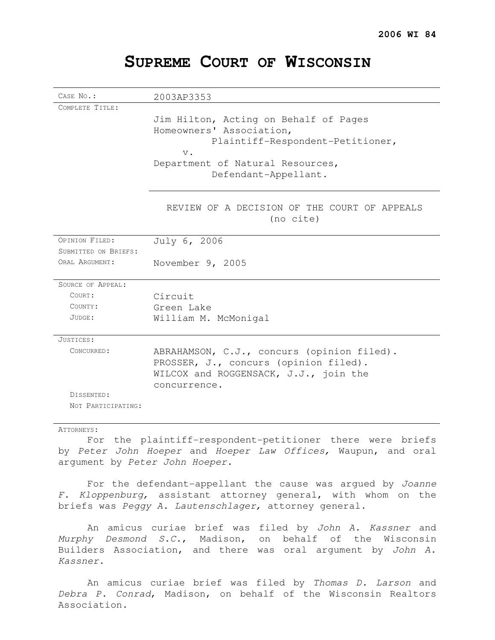| CASE NO.:            |                                                                                                                                                                            |
|----------------------|----------------------------------------------------------------------------------------------------------------------------------------------------------------------------|
| COMPLETE TITLE:      | 2003AP3353                                                                                                                                                                 |
|                      | Jim Hilton, Acting on Behalf of Pages<br>Homeowners' Association,<br>Plaintiff-Respondent-Petitioner,<br>$V$ .<br>Department of Natural Resources,<br>Defendant-Appellant. |
|                      | REVIEW OF A DECISION OF THE COURT OF APPEALS<br>(no cite)                                                                                                                  |
| OPINION FILED:       | July 6, 2006                                                                                                                                                               |
| SUBMITTED ON BRIEFS: |                                                                                                                                                                            |
| ORAL ARGUMENT:       | November 9, 2005                                                                                                                                                           |
| SOURCE OF APPEAL:    |                                                                                                                                                                            |
| COURT:               | Circuit                                                                                                                                                                    |
| COUNTY:              | Green Lake                                                                                                                                                                 |
| $JUDGE$ :            | William M. McMonigal                                                                                                                                                       |
| JUSTICES:            |                                                                                                                                                                            |
| CONCURRED:           | ABRAHAMSON, C.J., concurs (opinion filed).<br>PROSSER, J., concurs (opinion filed).<br>WILCOX and ROGGENSACK, J.J., join the<br>concurrence.                               |
| DISSENTED:           |                                                                                                                                                                            |
| NOT PARTICIPATING:   |                                                                                                                                                                            |

# **SUPREME COURT OF WISCONSIN**

### ATTORNEYS:

For the plaintiff-respondent-petitioner there were briefs by Peter John Hoeper and Hoeper Law Offices, Waupun, and oral argument by Peter John Hoeper.

For the defendant-appellant the cause was argued by Joanne F. Kloppenburg, assistant attorney general, with whom on the briefs was Peggy A. Lautenschlager, attorney general.

An amicus curiae brief was filed by John A. Kassner and Murphy Desmond S.C., Madison, on behalf of the Wisconsin Builders Association, and there was oral argument by John A. Kassner.

An amicus curiae brief was filed by Thomas D. Larson and Debra P. Conrad, Madison, on behalf of the Wisconsin Realtors Association.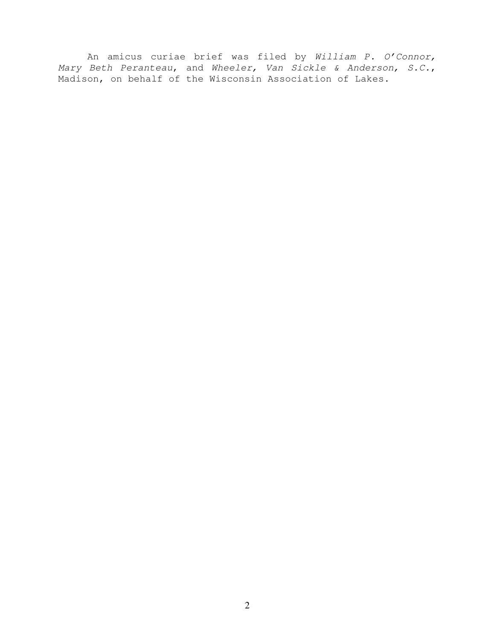An amicus curiae brief was filed by William P. O'Connor, Mary Beth Peranteau, and Wheeler, Van Sickle & Anderson, S.C., Madison, on behalf of the Wisconsin Association of Lakes.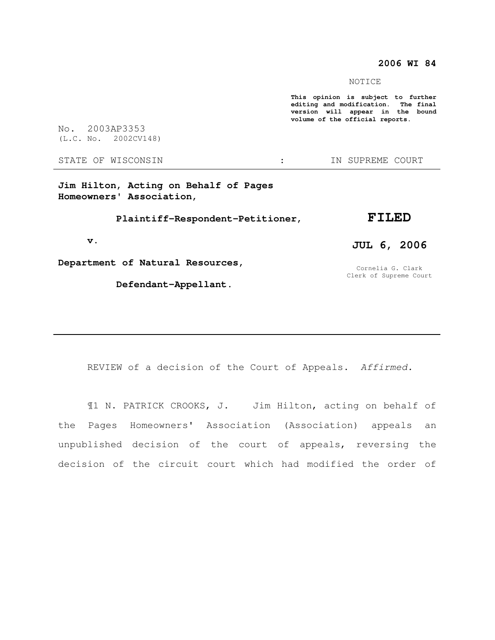## **2006 WI 84**

NOTICE

**This opinion is subject to further editing and modification. The final version will appear in the bound volume of the official reports.** 

No. 2003AP3353 (L.C. No. 2002CV148)

STATE OF WISCONSIN : IN SUPREME COURT

**Jim Hilton, Acting on Behalf of Pages Homeowners' Association,** 

 **Plaintiff-Respondent-Petitioner,** 

#### **v.**

**Department of Natural Resources,** 

 **Defendant-Appellant.** 

## **FILED**

# **JUL 6, 2006**

Cornelia G. Clark Clerk of Supreme Court

REVIEW of a decision of the Court of Appeals. Affirmed.

¶1 N. PATRICK CROOKS, J. Jim Hilton, acting on behalf of the Pages Homeowners' Association (Association) appeals an unpublished decision of the court of appeals, reversing the decision of the circuit court which had modified the order of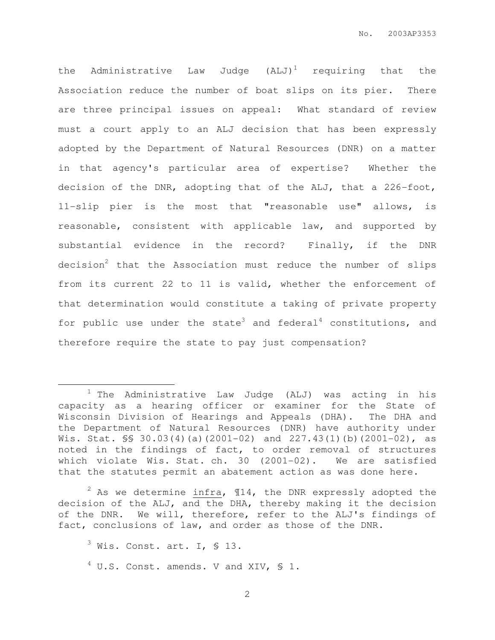the Administrative Law Judge  $(ALJ)^1$  requiring that the Association reduce the number of boat slips on its pier. There are three principal issues on appeal: What standard of review must a court apply to an ALJ decision that has been expressly adopted by the Department of Natural Resources (DNR) on a matter in that agency's particular area of expertise? Whether the decision of the DNR, adopting that of the ALJ, that a 226-foot, 11-slip pier is the most that "reasonable use" allows, is reasonable, consistent with applicable law, and supported by substantial evidence in the record? Finally, if the DNR decision<sup>2</sup> that the Association must reduce the number of slips from its current 22 to 11 is valid, whether the enforcement of that determination would constitute a taking of private property for public use under the state<sup>3</sup> and federal<sup>4</sup> constitutions, and therefore require the state to pay just compensation?

 $2$  As we determine infra,  $14$ , the DNR expressly adopted the decision of the ALJ, and the DHA, thereby making it the decision of the DNR. We will, therefore, refer to the ALJ's findings of fact, conclusions of law, and order as those of the DNR.

 $3$  Wis. Const. art. I, § 13.  $4$  U.S. Const. amends. V and XIV, § 1.

 $\overline{a}$ 

 $1$  The Administrative Law Judge (ALJ) was acting in his capacity as a hearing officer or examiner for the State of Wisconsin Division of Hearings and Appeals (DHA). The DHA and the Department of Natural Resources (DNR) have authority under Wis. Stat.  $\S$ \$ 30.03(4)(a)(2001-02) and 227.43(1)(b)(2001-02), as noted in the findings of fact, to order removal of structures which violate Wis. Stat. ch. 30 (2001-02). We are satisfied that the statutes permit an abatement action as was done here.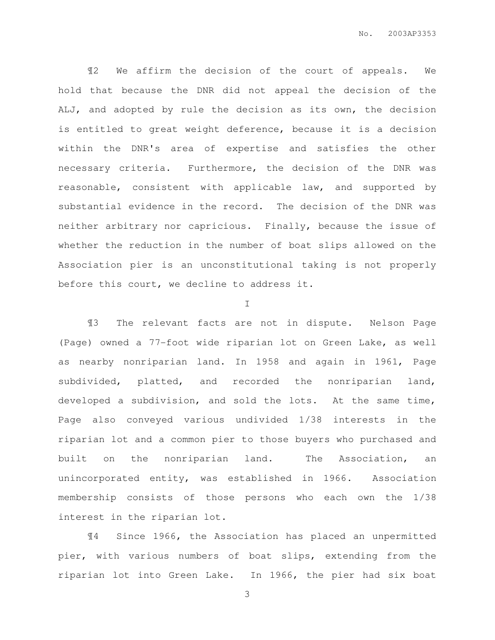¶2 We affirm the decision of the court of appeals. We hold that because the DNR did not appeal the decision of the ALJ, and adopted by rule the decision as its own, the decision is entitled to great weight deference, because it is a decision within the DNR's area of expertise and satisfies the other necessary criteria. Furthermore, the decision of the DNR was reasonable, consistent with applicable law, and supported by substantial evidence in the record. The decision of the DNR was neither arbitrary nor capricious. Finally, because the issue of whether the reduction in the number of boat slips allowed on the Association pier is an unconstitutional taking is not properly before this court, we decline to address it.

I

¶3 The relevant facts are not in dispute. Nelson Page (Page) owned a 77-foot wide riparian lot on Green Lake, as well as nearby nonriparian land. In 1958 and again in 1961, Page subdivided, platted, and recorded the nonriparian land, developed a subdivision, and sold the lots. At the same time, Page also conveyed various undivided 1/38 interests in the riparian lot and a common pier to those buyers who purchased and built on the nonriparian land. The Association, an unincorporated entity, was established in 1966. Association membership consists of those persons who each own the 1/38 interest in the riparian lot.

¶4 Since 1966, the Association has placed an unpermitted pier, with various numbers of boat slips, extending from the riparian lot into Green Lake. In 1966, the pier had six boat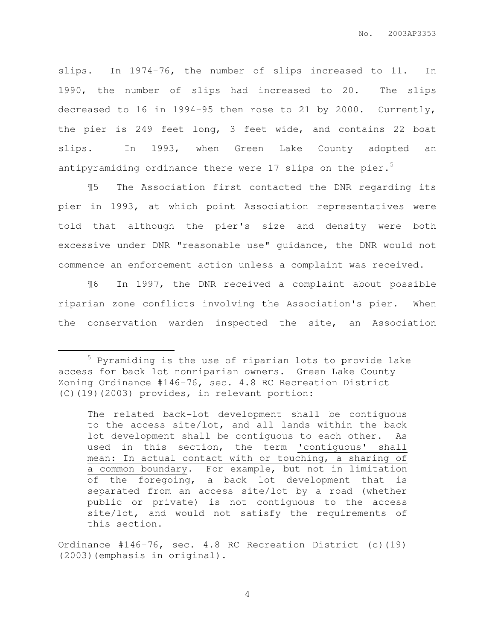slips. In 1974-76, the number of slips increased to 11. In 1990, the number of slips had increased to 20. The slips decreased to 16 in 1994-95 then rose to 21 by 2000. Currently, the pier is 249 feet long, 3 feet wide, and contains 22 boat slips. In 1993, when Green Lake County adopted an antipyramiding ordinance there were  $17$  slips on the pier.<sup>5</sup>

¶5 The Association first contacted the DNR regarding its pier in 1993, at which point Association representatives were told that although the pier's size and density were both excessive under DNR "reasonable use" guidance, the DNR would not commence an enforcement action unless a complaint was received.

¶6 In 1997, the DNR received a complaint about possible riparian zone conflicts involving the Association's pier. When the conservation warden inspected the site, an Association

 $\overline{a}$ 

<sup>5</sup> Pyramiding is the use of riparian lots to provide lake access for back lot nonriparian owners. Green Lake County Zoning Ordinance #146-76, sec. 4.8 RC Recreation District (C)(19)(2003) provides, in relevant portion:

The related back-lot development shall be contiguous to the access site/lot, and all lands within the back lot development shall be contiguous to each other. As used in this section, the term 'contiguous' shall mean: In actual contact with or touching, a sharing of a common boundary. For example, but not in limitation of the foregoing, a back lot development that is separated from an access site/lot by a road (whether public or private) is not contiguous to the access site/lot, and would not satisfy the requirements of this section.

Ordinance #146-76, sec. 4.8 RC Recreation District (c)(19) (2003)(emphasis in original).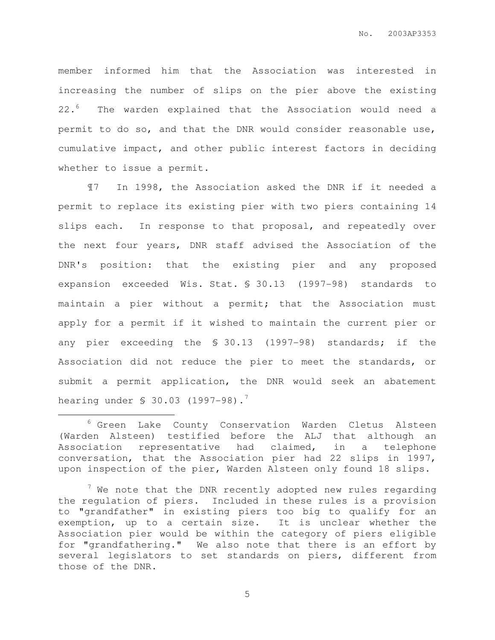member informed him that the Association was interested in increasing the number of slips on the pier above the existing 22.<sup>6</sup> The warden explained that the Association would need a permit to do so, and that the DNR would consider reasonable use, cumulative impact, and other public interest factors in deciding whether to issue a permit.

¶7 In 1998, the Association asked the DNR if it needed a permit to replace its existing pier with two piers containing 14 slips each. In response to that proposal, and repeatedly over the next four years, DNR staff advised the Association of the DNR's position: that the existing pier and any proposed expansion exceeded Wis. Stat. § 30.13 (1997-98) standards to maintain a pier without a permit; that the Association must apply for a permit if it wished to maintain the current pier or any pier exceeding the § 30.13 (1997-98) standards; if the Association did not reduce the pier to meet the standards, or submit a permit application, the DNR would seek an abatement hearing under \$ 30.03 (1997-98).<sup>7</sup>

 $\overline{a}$ 

<sup>6</sup> Green Lake County Conservation Warden Cletus Alsteen (Warden Alsteen) testified before the ALJ that although an Association representative had claimed, in a telephone conversation, that the Association pier had 22 slips in 1997, upon inspection of the pier, Warden Alsteen only found 18 slips.

 $7$  We note that the DNR recently adopted new rules regarding the regulation of piers. Included in these rules is a provision to "grandfather" in existing piers too big to qualify for an exemption, up to a certain size. It is unclear whether the Association pier would be within the category of piers eligible for "grandfathering." We also note that there is an effort by several legislators to set standards on piers, different from those of the DNR.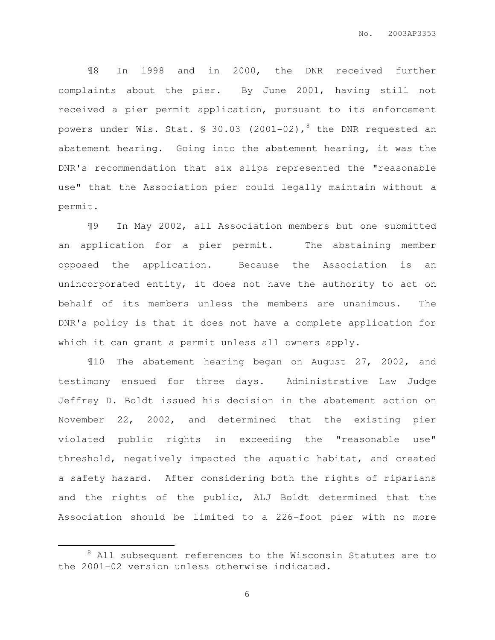¶8 In 1998 and in 2000, the DNR received further complaints about the pier. By June 2001, having still not received a pier permit application, pursuant to its enforcement powers under Wis. Stat.  $\frac{1}{5}$  30.03 (2001-02),<sup>8</sup> the DNR requested an abatement hearing. Going into the abatement hearing, it was the DNR's recommendation that six slips represented the "reasonable use" that the Association pier could legally maintain without a permit.

¶9 In May 2002, all Association members but one submitted an application for a pier permit. The abstaining member opposed the application. Because the Association is an unincorporated entity, it does not have the authority to act on behalf of its members unless the members are unanimous. The DNR's policy is that it does not have a complete application for which it can grant a permit unless all owners apply.

¶10 The abatement hearing began on August 27, 2002, and testimony ensued for three days. Administrative Law Judge Jeffrey D. Boldt issued his decision in the abatement action on November 22, 2002, and determined that the existing pier violated public rights in exceeding the "reasonable use" threshold, negatively impacted the aquatic habitat, and created a safety hazard. After considering both the rights of riparians and the rights of the public, ALJ Boldt determined that the Association should be limited to a 226-foot pier with no more

 $\overline{a}$ 

<sup>&</sup>lt;sup>8</sup> All subsequent references to the Wisconsin Statutes are to the 2001-02 version unless otherwise indicated.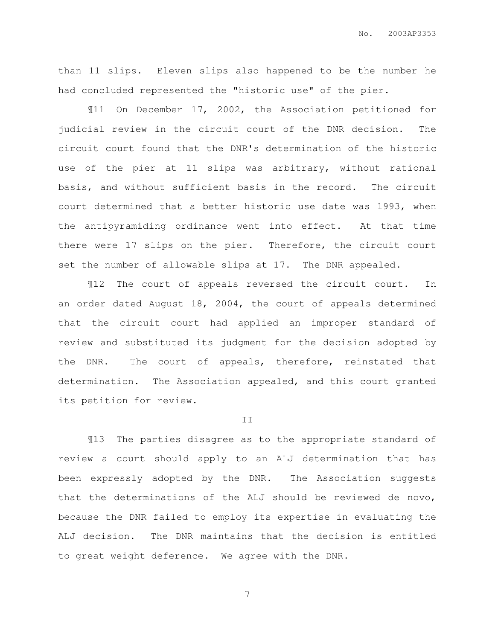than 11 slips. Eleven slips also happened to be the number he had concluded represented the "historic use" of the pier.

¶11 On December 17, 2002, the Association petitioned for judicial review in the circuit court of the DNR decision. The circuit court found that the DNR's determination of the historic use of the pier at 11 slips was arbitrary, without rational basis, and without sufficient basis in the record. The circuit court determined that a better historic use date was 1993, when the antipyramiding ordinance went into effect. At that time there were 17 slips on the pier. Therefore, the circuit court set the number of allowable slips at 17. The DNR appealed.

¶12 The court of appeals reversed the circuit court. In an order dated August 18, 2004, the court of appeals determined that the circuit court had applied an improper standard of review and substituted its judgment for the decision adopted by the DNR. The court of appeals, therefore, reinstated that determination. The Association appealed, and this court granted its petition for review.

#### II

¶13 The parties disagree as to the appropriate standard of review a court should apply to an ALJ determination that has been expressly adopted by the DNR. The Association suggests that the determinations of the ALJ should be reviewed de novo, because the DNR failed to employ its expertise in evaluating the ALJ decision. The DNR maintains that the decision is entitled to great weight deference. We agree with the DNR.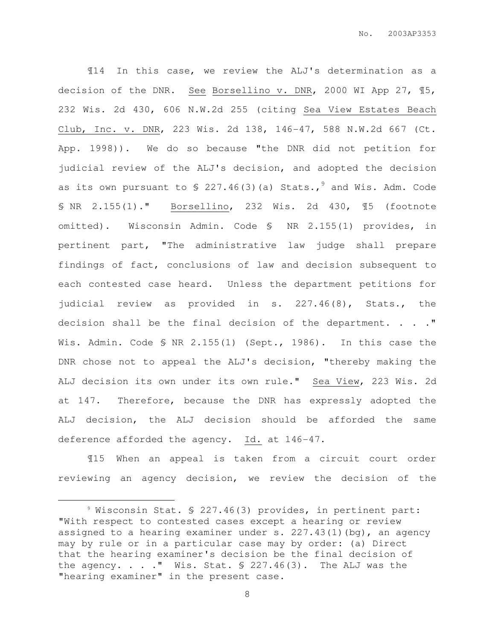¶14 In this case, we review the ALJ's determination as a decision of the DNR. See Borsellino v. DNR, 2000 WI App 27, ¶5, 232 Wis. 2d 430, 606 N.W.2d 255 (citing Sea View Estates Beach Club, Inc. v. DNR, 223 Wis. 2d 138, 146-47, 588 N.W.2d 667 (Ct. App. 1998)). We do so because "the DNR did not petition for judicial review of the ALJ's decision, and adopted the decision as its own pursuant to  $\frac{1}{2}$  227.46(3)(a) Stats.,  $\frac{1}{2}$  and Wis. Adm. Code § NR 2.155(1)." Borsellino, 232 Wis. 2d 430, ¶5 (footnote omitted). Wisconsin Admin. Code § NR 2.155(1) provides, in pertinent part, "The administrative law judge shall prepare findings of fact, conclusions of law and decision subsequent to each contested case heard. Unless the department petitions for judicial review as provided in s. 227.46(8), Stats., the decision shall be the final decision of the department. . . ." Wis. Admin. Code § NR 2.155(1) (Sept., 1986). In this case the DNR chose not to appeal the ALJ's decision, "thereby making the ALJ decision its own under its own rule." Sea View, 223 Wis. 2d at 147. Therefore, because the DNR has expressly adopted the ALJ decision, the ALJ decision should be afforded the same deference afforded the agency. Id. at 146-47.

¶15 When an appeal is taken from a circuit court order reviewing an agency decision, we review the decision of the

 $\overline{a}$ 

<sup>9</sup> Wisconsin Stat. § 227.46(3) provides, in pertinent part: "With respect to contested cases except a hearing or review assigned to a hearing examiner under s.  $227.43(1)(bg)$ , an agency may by rule or in a particular case may by order: (a) Direct that the hearing examiner's decision be the final decision of the agency.  $\ldots$  . . Wis. Stat.  $\S$  227.46(3). The ALJ was the "hearing examiner" in the present case.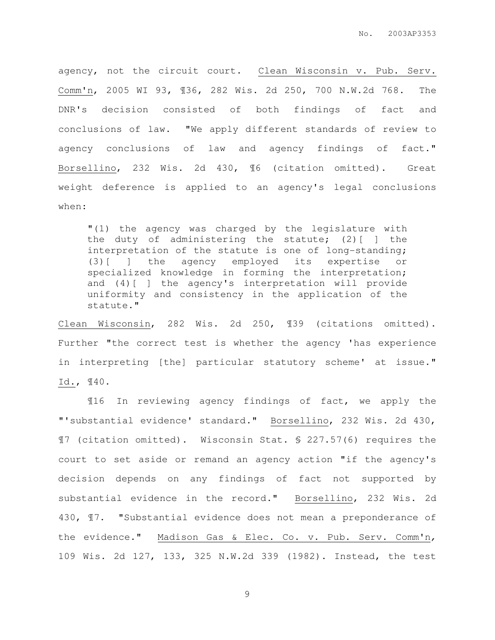agency, not the circuit court. Clean Wisconsin v. Pub. Serv. Comm'n, 2005 WI 93, ¶36, 282 Wis. 2d 250, 700 N.W.2d 768. The DNR's decision consisted of both findings of fact and conclusions of law. "We apply different standards of review to agency conclusions of law and agency findings of fact." Borsellino, 232 Wis. 2d 430, ¶6 (citation omitted). Great weight deference is applied to an agency's legal conclusions when:

"(1) the agency was charged by the legislature with the duty of administering the statute; (2)[ ] the interpretation of the statute is one of long-standing; (3)[ ] the agency employed its expertise or specialized knowledge in forming the interpretation; and (4)[ ] the agency's interpretation will provide uniformity and consistency in the application of the statute."

Clean Wisconsin, 282 Wis. 2d 250, ¶39 (citations omitted). Further "the correct test is whether the agency 'has experience in interpreting [the] particular statutory scheme' at issue." Id., ¶40.

¶16 In reviewing agency findings of fact, we apply the "'substantial evidence' standard." Borsellino, 232 Wis. 2d 430, ¶7 (citation omitted). Wisconsin Stat. § 227.57(6) requires the court to set aside or remand an agency action "if the agency's decision depends on any findings of fact not supported by substantial evidence in the record." Borsellino, 232 Wis. 2d 430, ¶7. "Substantial evidence does not mean a preponderance of the evidence." Madison Gas & Elec. Co. v. Pub. Serv. Comm'n, 109 Wis. 2d 127, 133, 325 N.W.2d 339 (1982). Instead, the test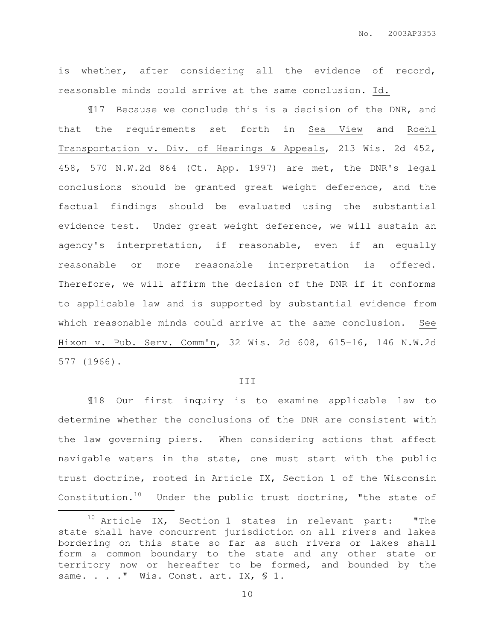is whether, after considering all the evidence of record, reasonable minds could arrive at the same conclusion. Id.

¶17 Because we conclude this is a decision of the DNR, and that the requirements set forth in Sea View and Roehl Transportation v. Div. of Hearings & Appeals, 213 Wis. 2d 452, 458, 570 N.W.2d 864 (Ct. App. 1997) are met, the DNR's legal conclusions should be granted great weight deference, and the factual findings should be evaluated using the substantial evidence test. Under great weight deference, we will sustain an agency's interpretation, if reasonable, even if an equally reasonable or more reasonable interpretation is offered. Therefore, we will affirm the decision of the DNR if it conforms to applicable law and is supported by substantial evidence from which reasonable minds could arrive at the same conclusion. See Hixon v. Pub. Serv. Comm'n, 32 Wis. 2d 608, 615-16, 146 N.W.2d 577 (1966).

#### III

¶18 Our first inquiry is to examine applicable law to determine whether the conclusions of the DNR are consistent with the law governing piers. When considering actions that affect navigable waters in the state, one must start with the public trust doctrine, rooted in Article IX, Section 1 of the Wisconsin Constitution.<sup>10</sup> Under the public trust doctrine, "the state of

 $\overline{a}$ 

 $10$  Article IX, Section 1 states in relevant part: "The state shall have concurrent jurisdiction on all rivers and lakes bordering on this state so far as such rivers or lakes shall form a common boundary to the state and any other state or territory now or hereafter to be formed, and bounded by the same. . . . " Wis. Const. art. IX, § 1.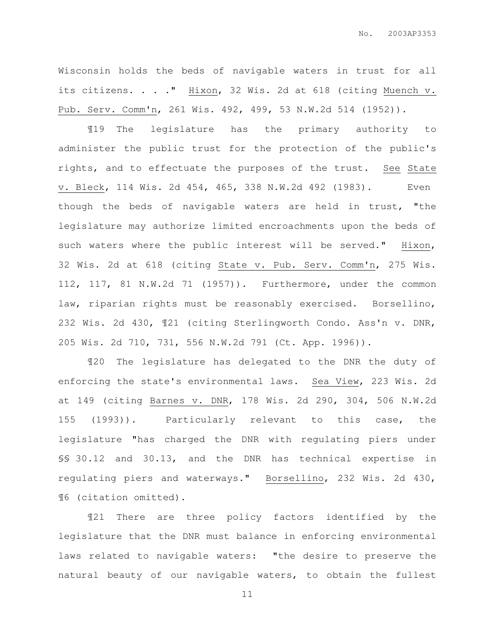Wisconsin holds the beds of navigable waters in trust for all its citizens. . . ." Hixon, 32 Wis. 2d at 618 (citing Muench v. Pub. Serv. Comm'n, 261 Wis. 492, 499, 53 N.W.2d 514 (1952)).

¶19 The legislature has the primary authority to administer the public trust for the protection of the public's rights, and to effectuate the purposes of the trust. See State v. Bleck, 114 Wis. 2d 454, 465, 338 N.W.2d 492 (1983). Even though the beds of navigable waters are held in trust, "the legislature may authorize limited encroachments upon the beds of such waters where the public interest will be served." Hixon, 32 Wis. 2d at 618 (citing State v. Pub. Serv. Comm'n, 275 Wis. 112, 117, 81 N.W.2d 71 (1957)). Furthermore, under the common law, riparian rights must be reasonably exercised. Borsellino, 232 Wis. 2d 430, ¶21 (citing Sterlingworth Condo. Ass'n v. DNR, 205 Wis. 2d 710, 731, 556 N.W.2d 791 (Ct. App. 1996)).

¶20 The legislature has delegated to the DNR the duty of enforcing the state's environmental laws. Sea View, 223 Wis. 2d at 149 (citing Barnes v. DNR, 178 Wis. 2d 290, 304, 506 N.W.2d 155 (1993)). Particularly relevant to this case, the legislature "has charged the DNR with regulating piers under §§ 30.12 and 30.13, and the DNR has technical expertise in regulating piers and waterways." Borsellino, 232 Wis. 2d 430, ¶6 (citation omitted).

¶21 There are three policy factors identified by the legislature that the DNR must balance in enforcing environmental laws related to navigable waters: "the desire to preserve the natural beauty of our navigable waters, to obtain the fullest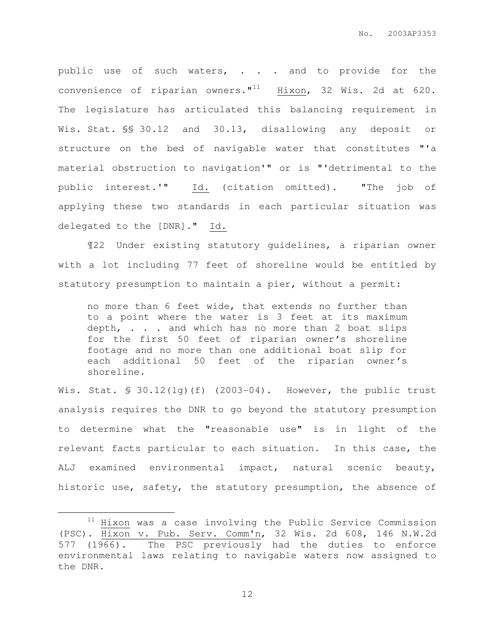public use of such waters, . . . and to provide for the convenience of riparian owners. $"$ <sup>11</sup> Hixon, 32 Wis. 2d at 620. The legislature has articulated this balancing requirement in Wis. Stat. §§ 30.12 and 30.13, disallowing any deposit or structure on the bed of navigable water that constitutes "'a material obstruction to navigation'" or is "'detrimental to the public interest.'" Id. (citation omitted). "The job of applying these two standards in each particular situation was delegated to the [DNR]." Id.

¶22 Under existing statutory guidelines, a riparian owner with a lot including 77 feet of shoreline would be entitled by statutory presumption to maintain a pier, without a permit:

no more than 6 feet wide, that extends no further than to a point where the water is 3 feet at its maximum depth, . . . and which has no more than 2 boat slips for the first 50 feet of riparian owner's shoreline footage and no more than one additional boat slip for each additional 50 feet of the riparian owner's shoreline.

Wis. Stat. § 30.12(1g)(f) (2003-04). However, the public trust analysis requires the DNR to go beyond the statutory presumption to determine what the "reasonable use" is in light of the relevant facts particular to each situation. In this case, the ALJ examined environmental impact, natural scenic beauty, historic use, safety, the statutory presumption, the absence of

 $\overline{a}$ 

 $11$  Hixon was a case involving the Public Service Commission (PSC). Hixon v. Pub. Serv. Comm'n, 32 Wis. 2d 608, 146 N.W.2d 577 (1966). The PSC previously had the duties to enforce environmental laws relating to navigable waters now assigned to the DNR.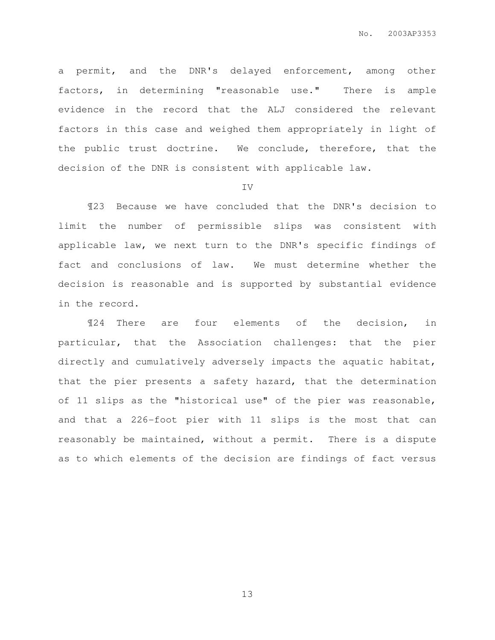a permit, and the DNR's delayed enforcement, among other factors, in determining "reasonable use." There is ample evidence in the record that the ALJ considered the relevant factors in this case and weighed them appropriately in light of the public trust doctrine. We conclude, therefore, that the decision of the DNR is consistent with applicable law.

#### IV

¶23 Because we have concluded that the DNR's decision to limit the number of permissible slips was consistent with applicable law, we next turn to the DNR's specific findings of fact and conclusions of law. We must determine whether the decision is reasonable and is supported by substantial evidence in the record.

¶24 There are four elements of the decision, in particular, that the Association challenges: that the pier directly and cumulatively adversely impacts the aquatic habitat, that the pier presents a safety hazard, that the determination of 11 slips as the "historical use" of the pier was reasonable, and that a 226-foot pier with 11 slips is the most that can reasonably be maintained, without a permit. There is a dispute as to which elements of the decision are findings of fact versus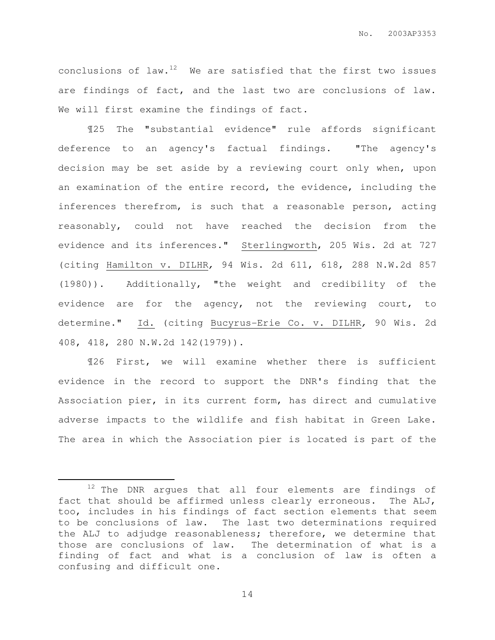conclusions of law. $12$  We are satisfied that the first two issues are findings of fact, and the last two are conclusions of law. We will first examine the findings of fact.

¶25 The "substantial evidence" rule affords significant deference to an agency's factual findings. "The agency's decision may be set aside by a reviewing court only when, upon an examination of the entire record, the evidence, including the inferences therefrom, is such that a reasonable person, acting reasonably, could not have reached the decision from the evidence and its inferences." Sterlingworth, 205 Wis. 2d at 727 (citing Hamilton v. DILHR, 94 Wis. 2d 611, 618, 288 N.W.2d 857 (1980)). Additionally, "the weight and credibility of the evidence are for the agency, not the reviewing court, to determine." Id. (citing Bucyrus-Erie Co. v. DILHR, 90 Wis. 2d 408, 418, 280 N.W.2d 142(1979)).

¶26 First, we will examine whether there is sufficient evidence in the record to support the DNR's finding that the Association pier, in its current form, has direct and cumulative adverse impacts to the wildlife and fish habitat in Green Lake. The area in which the Association pier is located is part of the

 $\overline{a}$ 

<sup>&</sup>lt;sup>12</sup> The DNR argues that all four elements are findings of fact that should be affirmed unless clearly erroneous. The ALJ, too, includes in his findings of fact section elements that seem to be conclusions of law. The last two determinations required the ALJ to adjudge reasonableness; therefore, we determine that those are conclusions of law. The determination of what is a finding of fact and what is a conclusion of law is often a confusing and difficult one.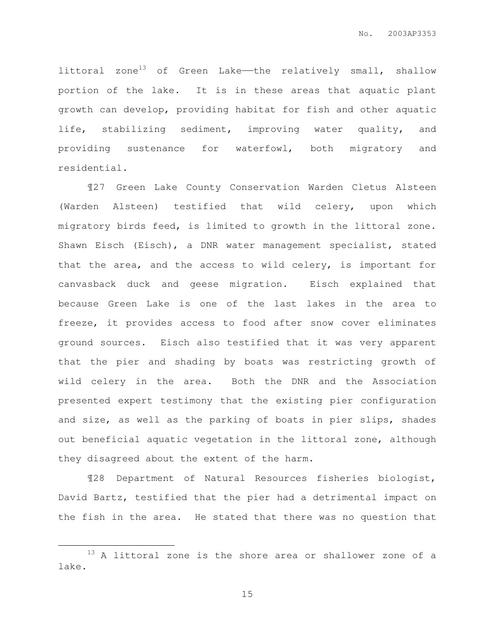littoral zone<sup>13</sup> of Green Lake—the relatively small, shallow portion of the lake. It is in these areas that aquatic plant growth can develop, providing habitat for fish and other aquatic life, stabilizing sediment, improving water quality, and providing sustenance for waterfowl, both migratory and residential.

¶27 Green Lake County Conservation Warden Cletus Alsteen (Warden Alsteen) testified that wild celery, upon which migratory birds feed, is limited to growth in the littoral zone. Shawn Eisch (Eisch), a DNR water management specialist, stated that the area, and the access to wild celery, is important for canvasback duck and geese migration. Eisch explained that because Green Lake is one of the last lakes in the area to freeze, it provides access to food after snow cover eliminates ground sources. Eisch also testified that it was very apparent that the pier and shading by boats was restricting growth of wild celery in the area. Both the DNR and the Association presented expert testimony that the existing pier configuration and size, as well as the parking of boats in pier slips, shades out beneficial aquatic vegetation in the littoral zone, although they disagreed about the extent of the harm.

¶28 Department of Natural Resources fisheries biologist, David Bartz, testified that the pier had a detrimental impact on the fish in the area. He stated that there was no question that

 $\overline{a}$ 

<sup>&</sup>lt;sup>13</sup> A littoral zone is the shore area or shallower zone of a lake.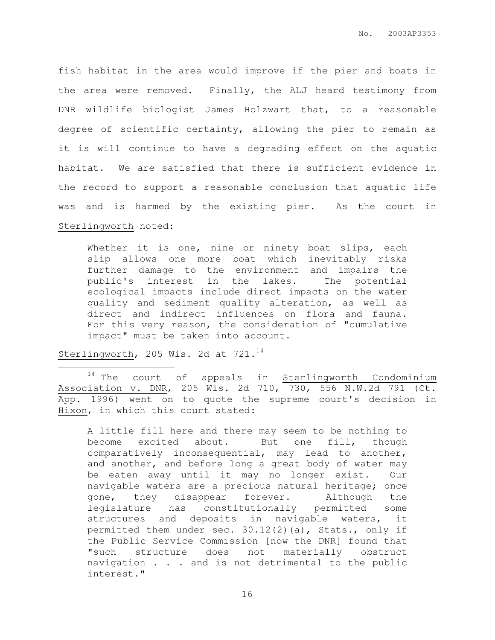fish habitat in the area would improve if the pier and boats in the area were removed. Finally, the ALJ heard testimony from DNR wildlife biologist James Holzwart that, to a reasonable degree of scientific certainty, allowing the pier to remain as it is will continue to have a degrading effect on the aquatic habitat. We are satisfied that there is sufficient evidence in the record to support a reasonable conclusion that aquatic life was and is harmed by the existing pier. As the court in Sterlingworth noted:

Whether it is one, nine or ninety boat slips, each slip allows one more boat which inevitably risks further damage to the environment and impairs the public's interest in the lakes. The potential ecological impacts include direct impacts on the water quality and sediment quality alteration, as well as direct and indirect influences on flora and fauna. For this very reason, the consideration of "cumulative impact" must be taken into account.

Sterlingworth, 205 Wis. 2d at 721.<sup>14</sup>

 $\overline{a}$ 

 $14$  The court of appeals in Sterlingworth Condominium Association v. DNR, 205 Wis. 2d 710, 730, 556 N.W.2d 791 (Ct. App. 1996) went on to quote the supreme court's decision in Hixon, in which this court stated:

A little fill here and there may seem to be nothing to become excited about. But one fill, though comparatively inconsequential, may lead to another, and another, and before long a great body of water may be eaten away until it may no longer exist. Our navigable waters are a precious natural heritage; once gone, they disappear forever. Although the legislature has constitutionally permitted some structures and deposits in navigable waters, it permitted them under sec.  $30.12(2)(a)$ , Stats., only if the Public Service Commission [now the DNR] found that "such structure does not materially obstruct navigation . . . and is not detrimental to the public interest."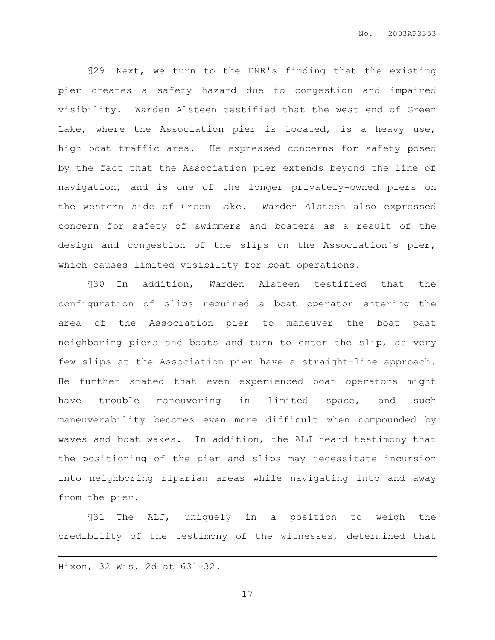¶29 Next, we turn to the DNR's finding that the existing pier creates a safety hazard due to congestion and impaired visibility. Warden Alsteen testified that the west end of Green Lake, where the Association pier is located, is a heavy use, high boat traffic area. He expressed concerns for safety posed by the fact that the Association pier extends beyond the line of navigation, and is one of the longer privately-owned piers on the western side of Green Lake. Warden Alsteen also expressed concern for safety of swimmers and boaters as a result of the design and congestion of the slips on the Association's pier, which causes limited visibility for boat operations.

¶30 In addition, Warden Alsteen testified that the configuration of slips required a boat operator entering the area of the Association pier to maneuver the boat past neighboring piers and boats and turn to enter the slip, as very few slips at the Association pier have a straight-line approach. He further stated that even experienced boat operators might have trouble maneuvering in limited space, and such maneuverability becomes even more difficult when compounded by waves and boat wakes. In addition, the ALJ heard testimony that the positioning of the pier and slips may necessitate incursion into neighboring riparian areas while navigating into and away from the pier.

¶31 The ALJ, uniquely in a position to weigh the credibility of the testimony of the witnesses, determined that

Hixon, 32 Wis. 2d at 631-32.

 $\overline{a}$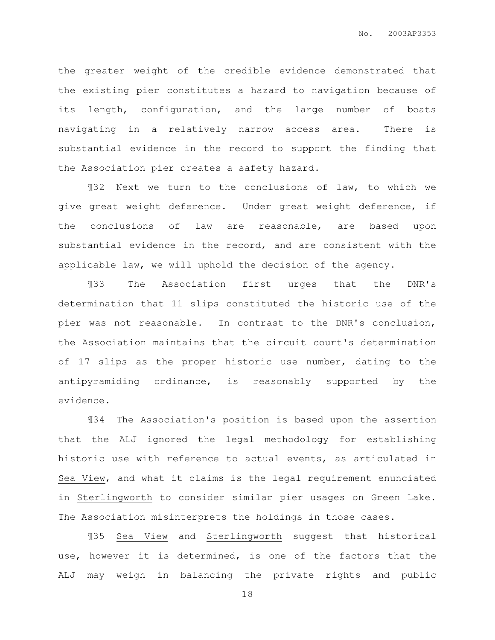the greater weight of the credible evidence demonstrated that the existing pier constitutes a hazard to navigation because of its length, configuration, and the large number of boats navigating in a relatively narrow access area. There is substantial evidence in the record to support the finding that the Association pier creates a safety hazard.

¶32 Next we turn to the conclusions of law, to which we give great weight deference. Under great weight deference, if the conclusions of law are reasonable, are based upon substantial evidence in the record, and are consistent with the applicable law, we will uphold the decision of the agency.

¶33 The Association first urges that the DNR's determination that 11 slips constituted the historic use of the pier was not reasonable. In contrast to the DNR's conclusion, the Association maintains that the circuit court's determination of 17 slips as the proper historic use number, dating to the antipyramiding ordinance, is reasonably supported by the evidence.

¶34 The Association's position is based upon the assertion that the ALJ ignored the legal methodology for establishing historic use with reference to actual events, as articulated in Sea View, and what it claims is the legal requirement enunciated in Sterlingworth to consider similar pier usages on Green Lake. The Association misinterprets the holdings in those cases.

¶35 Sea View and Sterlingworth suggest that historical use, however it is determined, is one of the factors that the ALJ may weigh in balancing the private rights and public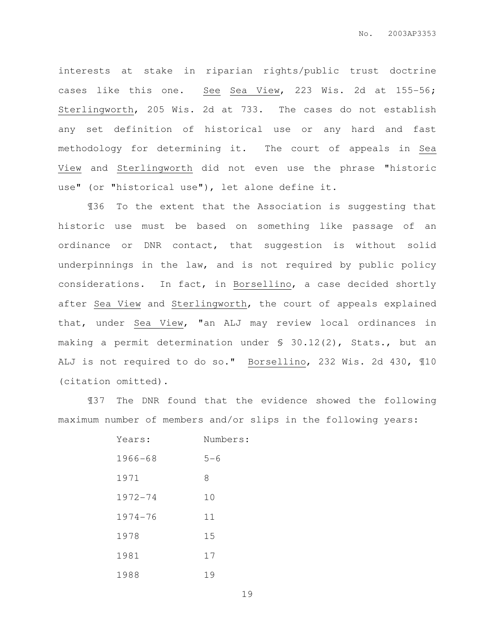interests at stake in riparian rights/public trust doctrine cases like this one. See Sea View, 223 Wis. 2d at 155-56; Sterlingworth, 205 Wis. 2d at 733. The cases do not establish any set definition of historical use or any hard and fast methodology for determining it. The court of appeals in Sea View and Sterlingworth did not even use the phrase "historic use" (or "historical use"), let alone define it.

¶36 To the extent that the Association is suggesting that historic use must be based on something like passage of an ordinance or DNR contact, that suggestion is without solid underpinnings in the law, and is not required by public policy considerations. In fact, in Borsellino, a case decided shortly after Sea View and Sterlingworth, the court of appeals explained that, under Sea View, "an ALJ may review local ordinances in making a permit determination under § 30.12(2), Stats., but an ALJ is not required to do so." Borsellino, 232 Wis. 2d 430, ¶10 (citation omitted).

¶37 The DNR found that the evidence showed the following maximum number of members and/or slips in the following years:

| Years:      | Numbers: |
|-------------|----------|
| $1966 - 68$ | $5 - 6$  |
| 1971        | 8        |
| $1972 - 74$ | 10       |
| 1974-76     | 11       |
| 1978        | 15       |
| 1981        | 17       |
| 1988        | 19       |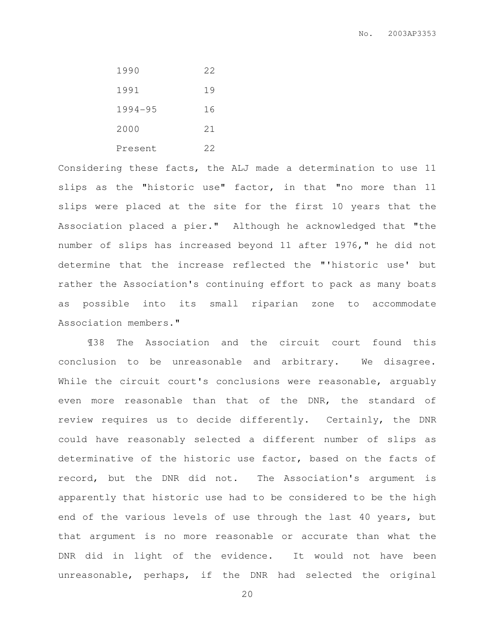| 1990    | 22 |
|---------|----|
| 1991    | 19 |
| 1994-95 | 16 |
| 2000    | 21 |
| Present | 22 |

Considering these facts, the ALJ made a determination to use 11 slips as the "historic use" factor, in that "no more than 11 slips were placed at the site for the first 10 years that the Association placed a pier." Although he acknowledged that "the number of slips has increased beyond 11 after 1976," he did not determine that the increase reflected the "'historic use' but rather the Association's continuing effort to pack as many boats as possible into its small riparian zone to accommodate Association members."

¶38 The Association and the circuit court found this conclusion to be unreasonable and arbitrary. We disagree. While the circuit court's conclusions were reasonable, arguably even more reasonable than that of the DNR, the standard of review requires us to decide differently. Certainly, the DNR could have reasonably selected a different number of slips as determinative of the historic use factor, based on the facts of record, but the DNR did not. The Association's argument is apparently that historic use had to be considered to be the high end of the various levels of use through the last 40 years, but that argument is no more reasonable or accurate than what the DNR did in light of the evidence. It would not have been unreasonable, perhaps, if the DNR had selected the original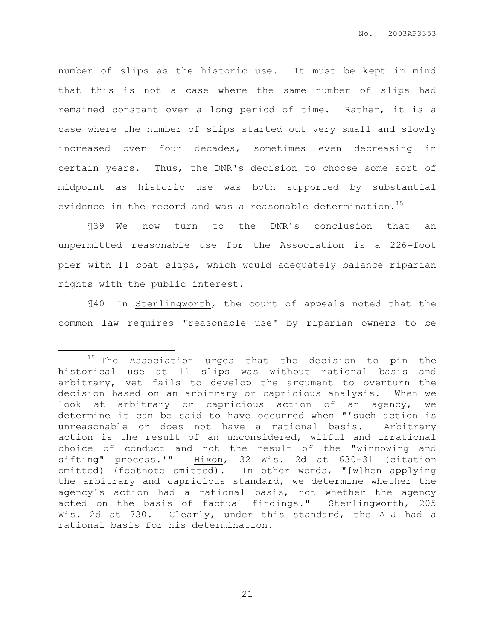number of slips as the historic use. It must be kept in mind that this is not a case where the same number of slips had remained constant over a long period of time. Rather, it is a case where the number of slips started out very small and slowly increased over four decades, sometimes even decreasing in certain years. Thus, the DNR's decision to choose some sort of midpoint as historic use was both supported by substantial evidence in the record and was a reasonable determination.<sup>15</sup>

¶39 We now turn to the DNR's conclusion that an unpermitted reasonable use for the Association is a 226-foot pier with 11 boat slips, which would adequately balance riparian rights with the public interest.

¶40 In Sterlingworth, the court of appeals noted that the common law requires "reasonable use" by riparian owners to be

 $\overline{a}$ 

<sup>&</sup>lt;sup>15</sup> The Association urges that the decision to pin the historical use at 11 slips was without rational basis and arbitrary, yet fails to develop the argument to overturn the decision based on an arbitrary or capricious analysis. When we look at arbitrary or capricious action of an agency, we determine it can be said to have occurred when "'such action is unreasonable or does not have a rational basis. Arbitrary action is the result of an unconsidered, wilful and irrational choice of conduct and not the result of the "winnowing and sifting" process.'" Hixon, 32 Wis. 2d at 630-31 (citation omitted) (footnote omitted). In other words, "[w]hen applying the arbitrary and capricious standard, we determine whether the agency's action had a rational basis, not whether the agency acted on the basis of factual findings." Sterlingworth, 205 Wis. 2d at 730. Clearly, under this standard, the ALJ had a rational basis for his determination.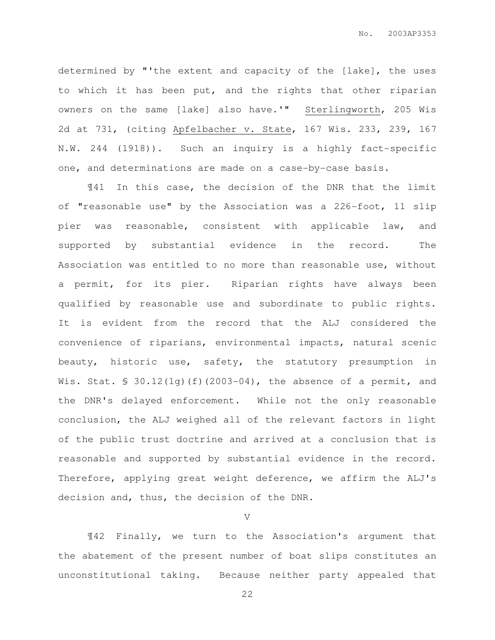determined by "'the extent and capacity of the [lake], the uses to which it has been put, and the rights that other riparian owners on the same [lake] also have.'" Sterlingworth, 205 Wis 2d at 731, (citing Apfelbacher v. State, 167 Wis. 233, 239, 167 N.W. 244 (1918)). Such an inquiry is a highly fact-specific one, and determinations are made on a case-by-case basis.

¶41 In this case, the decision of the DNR that the limit of "reasonable use" by the Association was a 226-foot, 11 slip pier was reasonable, consistent with applicable law, and supported by substantial evidence in the record. The Association was entitled to no more than reasonable use, without a permit, for its pier. Riparian rights have always been qualified by reasonable use and subordinate to public rights. It is evident from the record that the ALJ considered the convenience of riparians, environmental impacts, natural scenic beauty, historic use, safety, the statutory presumption in Wis. Stat.  $\frac{1}{5}$  30.12(1g)(f)(2003-04), the absence of a permit, and the DNR's delayed enforcement. While not the only reasonable conclusion, the ALJ weighed all of the relevant factors in light of the public trust doctrine and arrived at a conclusion that is reasonable and supported by substantial evidence in the record. Therefore, applying great weight deference, we affirm the ALJ's decision and, thus, the decision of the DNR.

V

¶42 Finally, we turn to the Association's argument that the abatement of the present number of boat slips constitutes an unconstitutional taking. Because neither party appealed that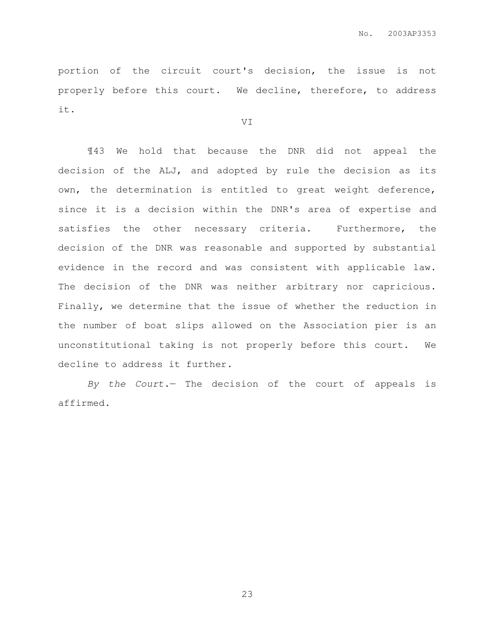portion of the circuit court's decision, the issue is not properly before this court. We decline, therefore, to address it.

VI

¶43 We hold that because the DNR did not appeal the decision of the ALJ, and adopted by rule the decision as its own, the determination is entitled to great weight deference, since it is a decision within the DNR's area of expertise and satisfies the other necessary criteria. Furthermore, the decision of the DNR was reasonable and supported by substantial evidence in the record and was consistent with applicable law. The decision of the DNR was neither arbitrary nor capricious. Finally, we determine that the issue of whether the reduction in the number of boat slips allowed on the Association pier is an unconstitutional taking is not properly before this court. We decline to address it further.

By the Court.— The decision of the court of appeals is affirmed.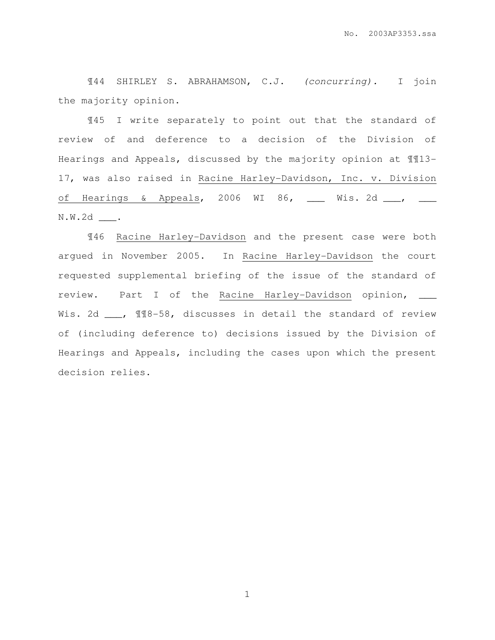¶44 SHIRLEY S. ABRAHAMSON, C.J. (concurring). I join the majority opinion.

¶45 I write separately to point out that the standard of review of and deference to a decision of the Division of Hearings and Appeals, discussed by the majority opinion at ¶¶13- 17, was also raised in Racine Harley-Davidson, Inc. v. Division of Hearings & Appeals, 2006 WI 86, \_\_\_ Wis. 2d \_\_\_, \_\_\_ N.W.2d \_\_\_.

¶46 Racine Harley-Davidson and the present case were both argued in November 2005. In Racine Harley-Davidson the court requested supplemental briefing of the issue of the standard of review. Part I of the Racine Harley-Davidson opinion, \_\_\_ Wis. 2d \_\_\_, 118-58, discusses in detail the standard of review of (including deference to) decisions issued by the Division of Hearings and Appeals, including the cases upon which the present decision relies.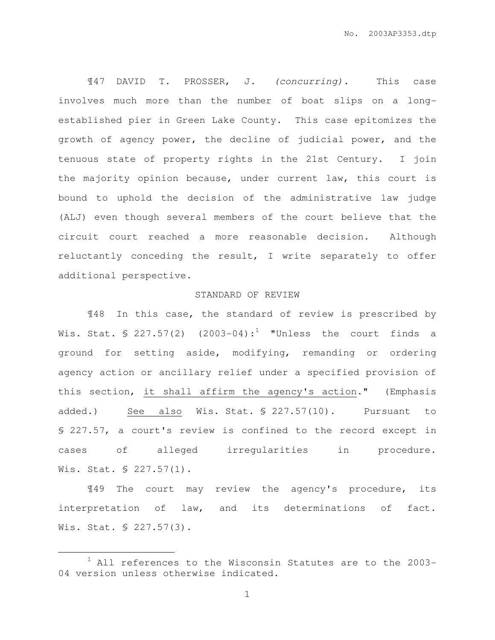¶47 DAVID T. PROSSER, J. (concurring). This case involves much more than the number of boat slips on a longestablished pier in Green Lake County. This case epitomizes the growth of agency power, the decline of judicial power, and the tenuous state of property rights in the 21st Century. I join the majority opinion because, under current law, this court is bound to uphold the decision of the administrative law judge (ALJ) even though several members of the court believe that the circuit court reached a more reasonable decision. Although reluctantly conceding the result, I write separately to offer additional perspective.

## STANDARD OF REVIEW

¶48 In this case, the standard of review is prescribed by Wis. Stat. § 227.57(2)  $(2003-04):$ <sup>1</sup> "Unless the court finds a ground for setting aside, modifying, remanding or ordering agency action or ancillary relief under a specified provision of this section, it shall affirm the agency's action." (Emphasis added.) See also Wis. Stat. § 227.57(10). Pursuant to § 227.57, a court's review is confined to the record except in cases of alleged irregularities in procedure. Wis. Stat. § 227.57(1).

¶49 The court may review the agency's procedure, its interpretation of law, and its determinations of fact. Wis. Stat. § 227.57(3).

 $\overline{a}$ 

 $1$  All references to the Wisconsin Statutes are to the 2003-04 version unless otherwise indicated.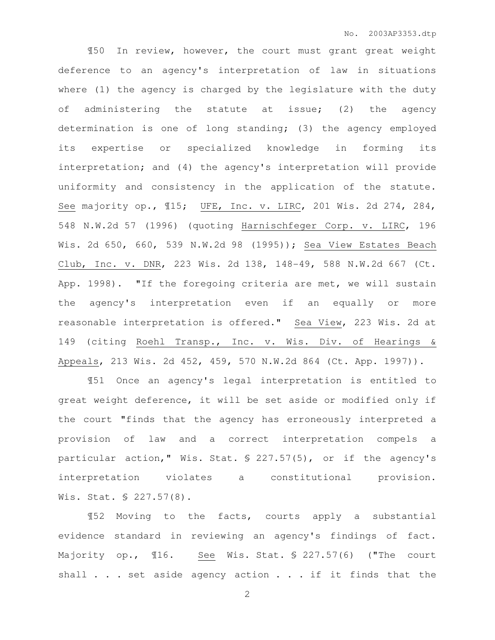¶50 In review, however, the court must grant great weight deference to an agency's interpretation of law in situations where (1) the agency is charged by the legislature with the duty of administering the statute at issue; (2) the agency determination is one of long standing; (3) the agency employed its expertise or specialized knowledge in forming its interpretation; and (4) the agency's interpretation will provide uniformity and consistency in the application of the statute. See majority op., ¶15; UFE, Inc. v. LIRC, 201 Wis. 2d 274, 284, 548 N.W.2d 57 (1996) (quoting Harnischfeger Corp. v. LIRC, 196 Wis. 2d 650, 660, 539 N.W.2d 98 (1995)); Sea View Estates Beach Club, Inc. v. DNR, 223 Wis. 2d 138, 148-49, 588 N.W.2d 667 (Ct. App. 1998). "If the foregoing criteria are met, we will sustain the agency's interpretation even if an equally or more reasonable interpretation is offered." Sea View, 223 Wis. 2d at 149 (citing Roehl Transp., Inc. v. Wis. Div. of Hearings & Appeals, 213 Wis. 2d 452, 459, 570 N.W.2d 864 (Ct. App. 1997)).

¶51 Once an agency's legal interpretation is entitled to great weight deference, it will be set aside or modified only if the court "finds that the agency has erroneously interpreted a provision of law and a correct interpretation compels a particular action," Wis. Stat. § 227.57(5), or if the agency's interpretation violates a constitutional provision. Wis. Stat. § 227.57(8).

¶52 Moving to the facts, courts apply a substantial evidence standard in reviewing an agency's findings of fact. Majority op., ¶16. See Wis. Stat. § 227.57(6) ("The court shall . . . set aside agency action . . . if it finds that the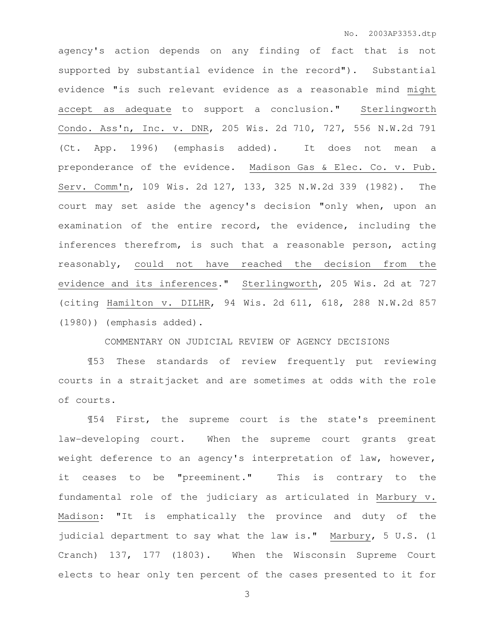agency's action depends on any finding of fact that is not supported by substantial evidence in the record"). Substantial evidence "is such relevant evidence as a reasonable mind might accept as adequate to support a conclusion." Sterlingworth Condo. Ass'n, Inc. v. DNR, 205 Wis. 2d 710, 727, 556 N.W.2d 791 (Ct. App. 1996) (emphasis added). It does not mean a preponderance of the evidence. Madison Gas & Elec. Co. v. Pub. Serv. Comm'n, 109 Wis. 2d 127, 133, 325 N.W.2d 339 (1982). The court may set aside the agency's decision "only when, upon an examination of the entire record, the evidence, including the inferences therefrom, is such that a reasonable person, acting reasonably, could not have reached the decision from the evidence and its inferences." Sterlingworth, 205 Wis. 2d at 727 (citing Hamilton v. DILHR, 94 Wis. 2d 611, 618, 288 N.W.2d 857 (1980)) (emphasis added).

COMMENTARY ON JUDICIAL REVIEW OF AGENCY DECISIONS

¶53 These standards of review frequently put reviewing courts in a straitjacket and are sometimes at odds with the role of courts.

¶54 First, the supreme court is the state's preeminent law-developing court. When the supreme court grants great weight deference to an agency's interpretation of law, however, it ceases to be "preeminent." This is contrary to the fundamental role of the judiciary as articulated in Marbury v. Madison: "It is emphatically the province and duty of the judicial department to say what the law is." Marbury, 5 U.S. (1 Cranch) 137, 177 (1803). When the Wisconsin Supreme Court elects to hear only ten percent of the cases presented to it for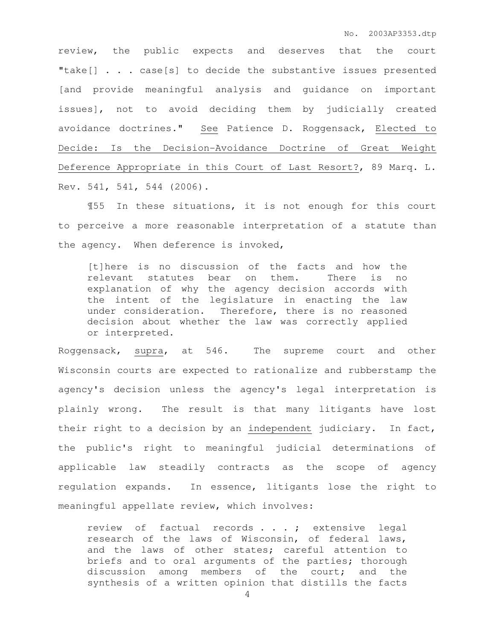review, the public expects and deserves that the court "take[] . . . case[s] to decide the substantive issues presented [and provide meaningful analysis and guidance on important issues], not to avoid deciding them by judicially created avoidance doctrines." See Patience D. Roggensack, Elected to Decide: Is the Decision-Avoidance Doctrine of Great Weight Deference Appropriate in this Court of Last Resort?, 89 Marq. L. Rev. 541, 541, 544 (2006).

¶55 In these situations, it is not enough for this court to perceive a more reasonable interpretation of a statute than the agency. When deference is invoked,

[t]here is no discussion of the facts and how the relevant statutes bear on them. There is no explanation of why the agency decision accords with the intent of the legislature in enacting the law under consideration. Therefore, there is no reasoned decision about whether the law was correctly applied or interpreted.

Roggensack, supra, at 546. The supreme court and other Wisconsin courts are expected to rationalize and rubberstamp the agency's decision unless the agency's legal interpretation is plainly wrong. The result is that many litigants have lost their right to a decision by an independent judiciary. In fact, the public's right to meaningful judicial determinations of applicable law steadily contracts as the scope of agency regulation expands. In essence, litigants lose the right to meaningful appellate review, which involves:

review of factual records . . . ; extensive legal research of the laws of Wisconsin, of federal laws, and the laws of other states; careful attention to briefs and to oral arguments of the parties; thorough discussion among members of the court; and the synthesis of a written opinion that distills the facts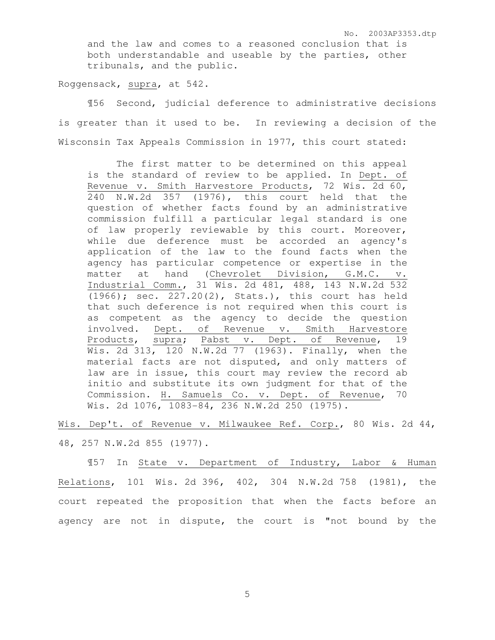No. 2003AP3353.dtp

and the law and comes to a reasoned conclusion that is both understandable and useable by the parties, other tribunals, and the public.

Roggensack, supra, at 542.

¶56 Second, judicial deference to administrative decisions is greater than it used to be. In reviewing a decision of the Wisconsin Tax Appeals Commission in 1977, this court stated:

The first matter to be determined on this appeal is the standard of review to be applied. In Dept. of Revenue v. Smith Harvestore Products, 72 Wis. 2d 60, 240 N.W.2d 357 (1976), this court held that the question of whether facts found by an administrative commission fulfill a particular legal standard is one of law properly reviewable by this court. Moreover, while due deference must be accorded an agency's application of the law to the found facts when the agency has particular competence or expertise in the matter at hand (Chevrolet Division, G.M.C. v. Industrial Comm., 31 Wis. 2d 481, 488, 143 N.W.2d 532 (1966); sec. 227.20(2), Stats.), this court has held that such deference is not required when this court is as competent as the agency to decide the question involved. Dept. of Revenue v. Smith Harvestore Products, supra; Pabst v. Dept. of Revenue, 19 Wis. 2d 313, 120 N.W.2d 77 (1963). Finally, when the material facts are not disputed, and only matters of law are in issue, this court may review the record ab initio and substitute its own judgment for that of the Commission. H. Samuels Co. v. Dept. of Revenue, 70 Wis. 2d 1076, 1083-84, 236 N.W.2d 250 (1975).

Wis. Dep't. of Revenue v. Milwaukee Ref. Corp., 80 Wis. 2d 44, 48, 257 N.W.2d 855 (1977).

¶57 In State v. Department of Industry, Labor & Human Relations, 101 Wis. 2d 396, 402, 304 N.W.2d 758 (1981), the court repeated the proposition that when the facts before an agency are not in dispute, the court is "not bound by the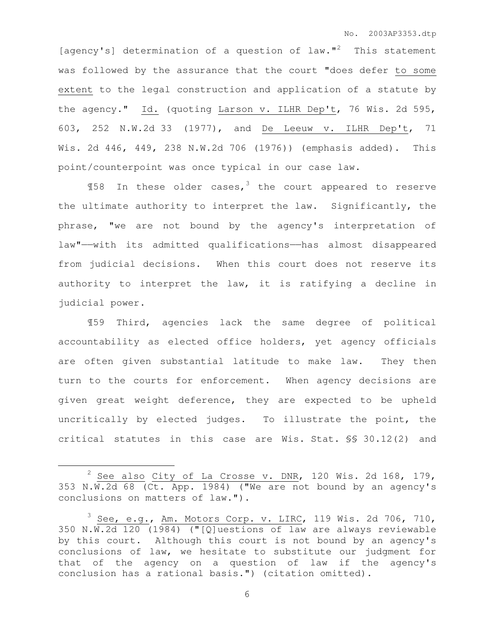[agency's] determination of a question of law."<sup>2</sup> This statement was followed by the assurance that the court "does defer to some extent to the legal construction and application of a statute by the agency." Id. (quoting Larson v. ILHR Dep't, 76 Wis. 2d 595, 603, 252 N.W.2d 33 (1977), and De Leeuw v. ILHR Dep't, 71 Wis. 2d 446, 449, 238 N.W.2d 706 (1976)) (emphasis added). This point/counterpoint was once typical in our case law.

 $$158$  In these older cases,<sup>3</sup> the court appeared to reserve the ultimate authority to interpret the law. Significantly, the phrase, "we are not bound by the agency's interpretation of law"——with its admitted qualifications——has almost disappeared from judicial decisions. When this court does not reserve its authority to interpret the law, it is ratifying a decline in judicial power.

¶59 Third, agencies lack the same degree of political accountability as elected office holders, yet agency officials are often given substantial latitude to make law. They then turn to the courts for enforcement. When agency decisions are given great weight deference, they are expected to be upheld uncritically by elected judges. To illustrate the point, the critical statutes in this case are Wis. Stat. §§ 30.12(2) and

 $\overline{a}$ 

See also City of La Crosse v. DNR, 120 Wis. 2d 168, 179, 353 N.W.2d 68 (Ct. App. 1984) ("We are not bound by an agency's conclusions on matters of law.").

 $^3$  See, e.g., Am. Motors Corp. v. LIRC, 119 Wis. 2d 706, 710, 350 N.W.2d 120 (1984) ("[Q]uestions of law are always reviewable by this court. Although this court is not bound by an agency's conclusions of law, we hesitate to substitute our judgment for that of the agency on a question of law if the agency's conclusion has a rational basis.") (citation omitted).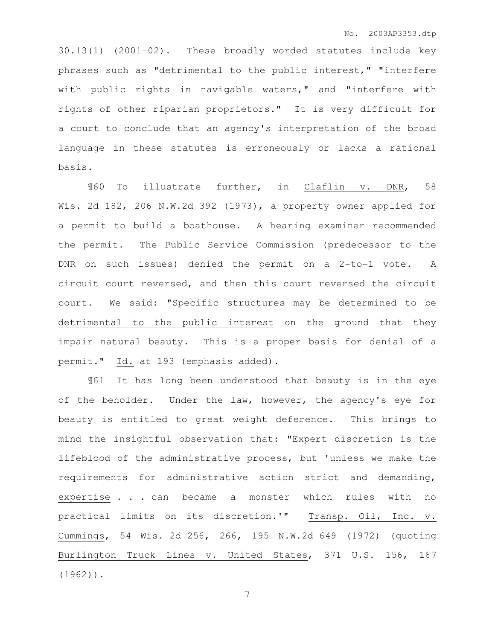30.13(1) (2001-02). These broadly worded statutes include key phrases such as "detrimental to the public interest," "interfere with public rights in navigable waters," and "interfere with rights of other riparian proprietors." It is very difficult for a court to conclude that an agency's interpretation of the broad language in these statutes is erroneously or lacks a rational basis.

¶60 To illustrate further, in Claflin v. DNR, 58 Wis. 2d 182, 206 N.W.2d 392 (1973), a property owner applied for a permit to build a boathouse. A hearing examiner recommended the permit. The Public Service Commission (predecessor to the DNR on such issues) denied the permit on a 2-to-1 vote. A circuit court reversed, and then this court reversed the circuit court. We said: "Specific structures may be determined to be detrimental to the public interest on the ground that they impair natural beauty. This is a proper basis for denial of a permit." Id. at 193 (emphasis added).

¶61 It has long been understood that beauty is in the eye of the beholder. Under the law, however, the agency's eye for beauty is entitled to great weight deference. This brings to mind the insightful observation that: "Expert discretion is the lifeblood of the administrative process, but 'unless we make the requirements for administrative action strict and demanding, expertise . . . can became a monster which rules with no practical limits on its discretion.'" Transp. Oil, Inc. v. Cummings, 54 Wis. 2d 256, 266, 195 N.W.2d 649 (1972) (quoting Burlington Truck Lines v. United States, 371 U.S. 156, 167 (1962)).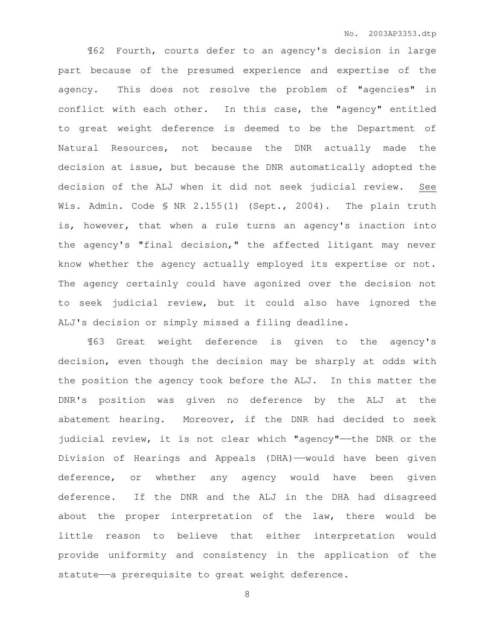¶62 Fourth, courts defer to an agency's decision in large part because of the presumed experience and expertise of the agency. This does not resolve the problem of "agencies" in conflict with each other. In this case, the "agency" entitled to great weight deference is deemed to be the Department of Natural Resources, not because the DNR actually made the decision at issue, but because the DNR automatically adopted the decision of the ALJ when it did not seek judicial review. See Wis. Admin. Code § NR 2.155(1) (Sept., 2004). The plain truth is, however, that when a rule turns an agency's inaction into the agency's "final decision," the affected litigant may never know whether the agency actually employed its expertise or not. The agency certainly could have agonized over the decision not to seek judicial review, but it could also have ignored the ALJ's decision or simply missed a filing deadline.

¶63 Great weight deference is given to the agency's decision, even though the decision may be sharply at odds with the position the agency took before the ALJ. In this matter the DNR's position was given no deference by the ALJ at the abatement hearing. Moreover, if the DNR had decided to seek judicial review, it is not clear which "agency"——the DNR or the Division of Hearings and Appeals (DHA)——would have been given deference, or whether any agency would have been given deference. If the DNR and the ALJ in the DHA had disagreed about the proper interpretation of the law, there would be little reason to believe that either interpretation would provide uniformity and consistency in the application of the statute—a prerequisite to great weight deference.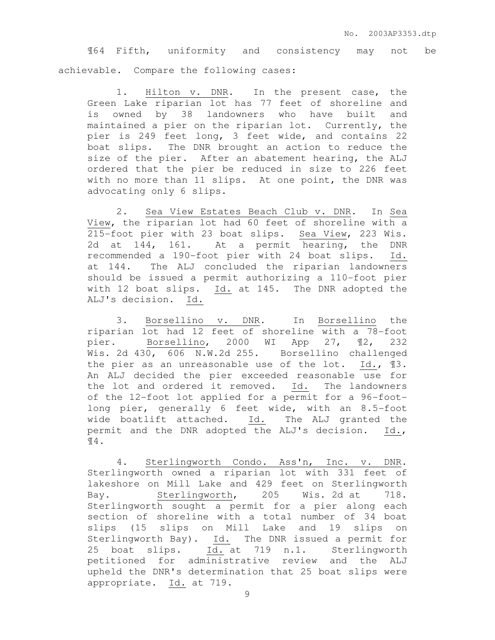¶64 Fifth, uniformity and consistency may not be achievable. Compare the following cases:

1. Hilton v. DNR. In the present case, the Green Lake riparian lot has 77 feet of shoreline and is owned by 38 landowners who have built and maintained a pier on the riparian lot. Currently, the pier is 249 feet long, 3 feet wide, and contains 22 boat slips. The DNR brought an action to reduce the size of the pier. After an abatement hearing, the ALJ ordered that the pier be reduced in size to 226 feet with no more than 11 slips. At one point, the DNR was advocating only 6 slips.

2. Sea View Estates Beach Club v. DNR. In Sea View, the riparian lot had 60 feet of shoreline with a 215-foot pier with 23 boat slips. Sea View, 223 Wis. 2d at 144, 161. At a permit hearing, the DNR recommended a 190-foot pier with 24 boat slips. Id. at 144. The ALJ concluded the riparian landowners should be issued a permit authorizing a 110-foot pier with 12 boat slips. Id. at 145. The DNR adopted the ALJ's decision. Id.

3. Borsellino v. DNR. In Borsellino the riparian lot had 12 feet of shoreline with a 78-foot pier. Borsellino, 2000 WI App 27, ¶2, 232 Wis. 2d 430, 606 N.W.2d 255. Borsellino challenged the pier as an unreasonable use of the lot. Id., ¶3. An ALJ decided the pier exceeded reasonable use for the lot and ordered it removed. Id. The landowners of the 12-foot lot applied for a permit for a 96-footlong pier, generally 6 feet wide, with an 8.5-foot wide boatlift attached. Id. The ALJ granted the permit and the DNR adopted the ALJ's decision. Id., ¶4.

4. Sterlingworth Condo. Ass'n, Inc. v. DNR. Sterlingworth owned a riparian lot with 331 feet of lakeshore on Mill Lake and 429 feet on Sterlingworth Bay. Sterlingworth, 205 Wis. 2d at 718. Sterlingworth sought a permit for a pier along each section of shoreline with a total number of 34 boat slips (15 slips on Mill Lake and 19 slips on Sterlingworth Bay). Id. The DNR issued a permit for 25 boat slips. Id. at 719 n.1. Sterlingworth petitioned for administrative review and the ALJ upheld the DNR's determination that 25 boat slips were appropriate. Id. at 719.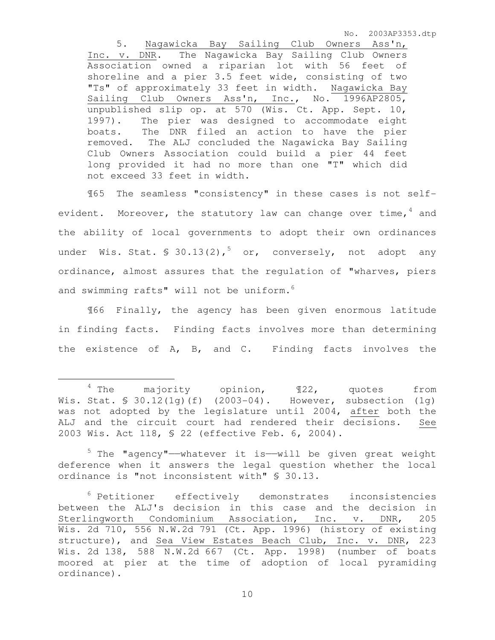No. 2003AP3353.dtp

5. Nagawicka Bay Sailing Club Owners Ass'n, Inc. v. DNR. The Nagawicka Bay Sailing Club Owners Association owned a riparian lot with 56 feet of shoreline and a pier 3.5 feet wide, consisting of two "Ts" of approximately 33 feet in width. Nagawicka Bay Sailing Club Owners Ass'n, Inc., No. 1996AP2805, unpublished slip op. at 570 (Wis. Ct. App. Sept. 10, 1997). The pier was designed to accommodate eight boats. The DNR filed an action to have the pier removed. The ALJ concluded the Nagawicka Bay Sailing Club Owners Association could build a pier 44 feet long provided it had no more than one "T" which did not exceed 33 feet in width.

¶65 The seamless "consistency" in these cases is not selfevident. Moreover, the statutory law can change over time,  $4$  and the ability of local governments to adopt their own ordinances under Wis. Stat. § 30.13(2),<sup>5</sup> or, conversely, not adopt any ordinance, almost assures that the regulation of "wharves, piers and swimming rafts" will not be uniform.<sup>6</sup>

¶66 Finally, the agency has been given enormous latitude in finding facts. Finding facts involves more than determining the existence of A, B, and C. Finding facts involves the

 $\overline{a}$ 

 $4$  The majority opinion,  $122$ , quotes from Wis. Stat. § 30.12(1g)(f) (2003-04). However, subsection (1g) was not adopted by the legislature until 2004, after both the ALJ and the circuit court had rendered their decisions. See 2003 Wis. Act 118, § 22 (effective Feb. 6, 2004).

 $5$  The "agency"—whatever it is—will be given great weight deference when it answers the legal question whether the local ordinance is "not inconsistent with" § 30.13.

<sup>6</sup> Petitioner effectively demonstrates inconsistencies between the ALJ's decision in this case and the decision in Sterlingworth Condominium Association, Inc. v. DNR, 205 Wis. 2d 710, 556 N.W.2d 791 (Ct. App. 1996) (history of existing structure), and Sea View Estates Beach Club, Inc. v. DNR, 223 Wis. 2d 138, 588 N.W.2d 667 (Ct. App. 1998) (number of boats moored at pier at the time of adoption of local pyramiding ordinance).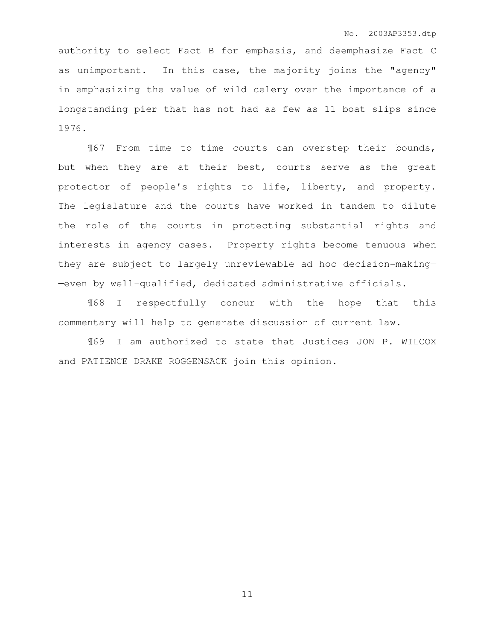authority to select Fact B for emphasis, and deemphasize Fact C as unimportant. In this case, the majority joins the "agency" in emphasizing the value of wild celery over the importance of a longstanding pier that has not had as few as 11 boat slips since 1976.

¶67 From time to time courts can overstep their bounds, but when they are at their best, courts serve as the great protector of people's rights to life, liberty, and property. The legislature and the courts have worked in tandem to dilute the role of the courts in protecting substantial rights and interests in agency cases. Property rights become tenuous when they are subject to largely unreviewable ad hoc decision-making— —even by well-qualified, dedicated administrative officials.

¶68 I respectfully concur with the hope that this commentary will help to generate discussion of current law.

¶69 I am authorized to state that Justices JON P. WILCOX and PATIENCE DRAKE ROGGENSACK join this opinion.